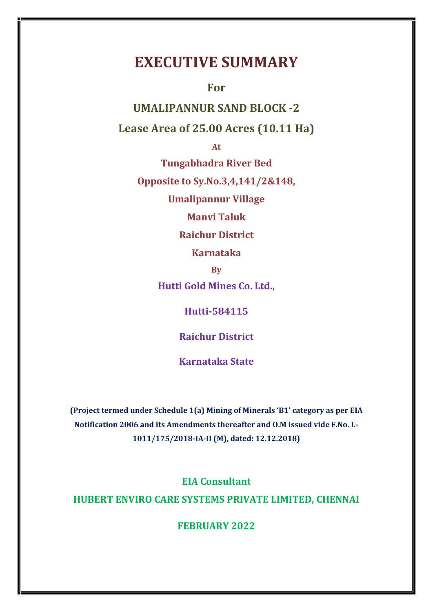# **EXECUTIVE SUMMARY**

**For**

**UMALIPANNUR SAND BLOCK -2**

**Lease Area of 25.00 Acres (10.11 Ha)**

**At**

**Tungabhadra River Bed**

**Opposite to Sy.No.3,4,141/2&148,**

**Umalipannur Village**

**Manvi Taluk**

**Raichur District**

**Karnataka**

**By**

**Hutti Gold Mines Co. Ltd.,**

**Hutti-584115**

**Raichur District**

**Karnataka State**

**(Project termed under Schedule 1(a) Mining of Minerals 'B1' category as per EIA Notification 2006 and its Amendments thereafter and O.M issued vide F.No. L- 1011/175/2018-IA-II (M), dated: 12.12.2018)**

**EIA Consultant HUBERT ENVIRO CARE SYSTEMS PRIVATE LIMITED, CHENNAI**

**FEBRUARY 2022**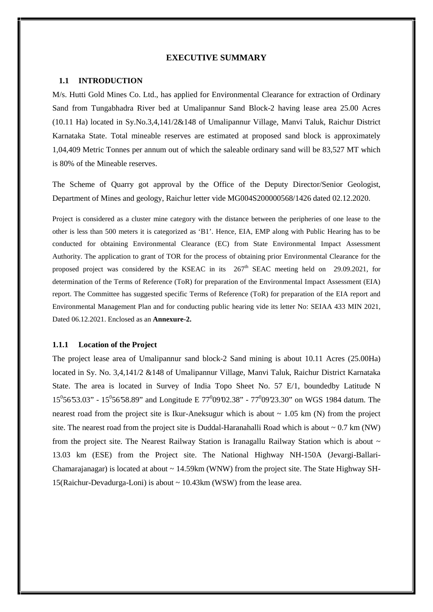#### **EXECUTIVE SUMMARY**

#### **1.1 INTRODUCTION**

M/s. Hutti Gold Mines Co. Ltd., has applied for Environmental Clearance for extraction of Ordinary Sand from Tungabhadra River bed at Umalipannur Sand Block-2 having lease area 25.00 Acres (10.11 Ha) located in Sy.No.3,4,141/2&148 ofUmalipannur Village, Manvi Taluk, Raichur District Karnataka State. Total mineable reserves are estimated at proposed sand block is approximately 1,04,409 Metric Tonnes per annum out of which the saleable ordinary sand will be 83,527 MT which is 80% of the Mineable reserves.

The Scheme of Quarry got approval by the Office of the Deputy Director/Senior Geologist, Department of Mines and geology, Raichur letter vide MG004S200000568/1426 dated 02.12.2020.

Project is considered as a cluster mine category with the distance between the peripheries of one lease to the other is less than 500 meters it is categorized as 'B1'. Hence, EIA, EMP along with Public Hearing has to be conducted for obtaining Environmental Clearance (EC) from State Environmental Impact Assessment Authority. The application to grant of TOR for the process of obtaining prior Environmental Clearance for the proposed project was considered by the KSEAC in its  $267<sup>th</sup>$  SEAC meeting held on 29.09.2021, for determination of the Terms of Reference (ToR) for preparation of the Environmental Impact Assessment (EIA) report. The Committee has suggested specific Terms of Reference (ToR) for preparation of the EIA report and Environmental Management Plan and for conducting public hearing vide its letter No: SEIAA 433 MIN 2021, Dated 06.12.2021. Enclosed as an **Annexure-2.**

#### **1.1.1 Location of the Project**

The project lease area of Umalipannur sand block-2 Sand mining is about 10.11 Acres (25.00Ha) located in Sy. No. 3,4,141/2 &148 of Umalipannur Village, Manvi Taluk, Raichur District Karnataka State. The area is located in Survey of India Topo Sheet No. 57 E/1, boundedby Latitude N  $15^0$ 56'53.03" - 15<sup>0</sup>56'58.89" and Longitude E 77<sup>0</sup>09'02.38" - 77<sup>0</sup>09'23.30" on WGS 1984 datum. The nearest road from the project site is Ikur-Aneksugur which is about  $\sim 1.05$  km (N) from the project site. The nearest road from the project site is Duddal-Haranahalli Road which is about  $\sim 0.7$  km (NW) from the project site. The Nearest Railway Station is Iranagallu Railway Station which is about ~ 13.03 km (ESE) from the Project site. The National Highway NH-150A (Jevargi-Ballari- Chamarajanagar) is located at about  $\sim$  14.59km (WNW) from the project site. The State Highway SH-15(Raichur-Devadurga-Loni) is about ~ 10.43km (WSW) from the lease area.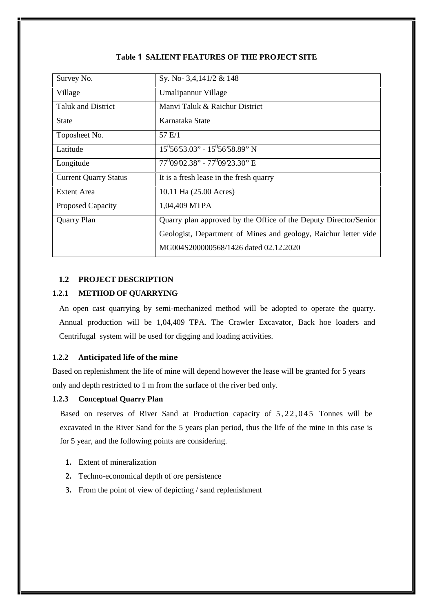| Survey No.                   | Sy. No- 3,4,141/2 & 148                                          |  |  |
|------------------------------|------------------------------------------------------------------|--|--|
| Village                      | Umalipannur Village                                              |  |  |
| <b>Taluk and District</b>    | Manyi Taluk & Raichur District                                   |  |  |
| <b>State</b>                 | Karnataka State                                                  |  |  |
| Toposheet No.                | 57 E/1                                                           |  |  |
| Latitude                     | $15^0$ 56'53.03" - $15^0$ 56'58.89" N                            |  |  |
| Longitude                    | $77^00902.38" - 77^00923.30"$ E                                  |  |  |
| <b>Current Quarry Status</b> | It is a fresh lease in the fresh quarry                          |  |  |
| Extent Area                  | 10.11 Ha (25.00 Acres)                                           |  |  |
| Proposed Capacity            | 1,04,409 MTPA                                                    |  |  |
| <b>Quarry Plan</b>           | Quarry plan approved by the Office of the Deputy Director/Senior |  |  |
|                              | Geologist, Department of Mines and geology, Raichur letter vide  |  |  |
|                              | MG004S200000568/1426 dated 02.12.2020                            |  |  |
|                              |                                                                  |  |  |

## **Table 1 SALIENT FEATURES OF THE PROJECT SITE**

## **1.2 PROJECT DESCRIPTION**

# **1.2.1 METHOD OF QUARRYING**

An open cast quarrying by semi-mechanized method will be adopted to operate the quarry. Annual production will be 1,04,409 TPA. The Crawler Excavator, Back hoe loaders and Centrifugal system will be used for digging and loading activities.

# **1.2.2 Anticipated life of the mine**

Based on replenishment the life of mine will depend however the lease will be granted for 5 years only and depth restricted to 1 m from the surface of the river bed only.

## **1.2.3 Conceptual Quarry Plan**

Based on reserves of River Sand at Production capacity of  $5, 22, 045$  Tonnes will be excavated in the River Sand for the 5 years plan period, thus the life of the mine in this case is for 5 year, and the following points are considering.

- **1.** Extent of mineralization
- **2.** Techno-economical depth of ore persistence
- **3.** From the point of view of depicting / sand replenishment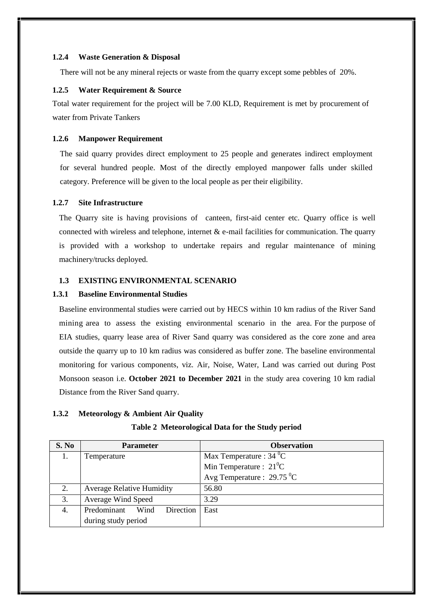#### **1.2.4 Waste Generation & Disposal**

There will not be any mineral rejects or waste from the quarry except some pebbles of 20%.

#### **1.2.5 Water Requirement & Source**

Total water requirement for the project will be 7.00 KLD, Requirement is met by procurement of water from Private Tankers

## **1.2.6 Manpower Requirement**

The said quarry provides direct employment to 25 people and generates indirect employment for several hundred people. Most of the directly employed manpower falls under skilled category. Preference will be given to the local people as per their eligibility.

# **1.2.7 Site Infrastructure**

The Quarry site is having provisions of canteen, first-aid center etc. Quarry office is well connected with wireless and telephone, internet  $\&$  e-mail facilities for communication. The quarry is provided with a workshop to undertake repairs and regular maintenance of mining machinery/trucks deployed.

## **1.3 EXISTING ENVIRONMENTAL SCENARIO**

## **1.3.1 Baseline Environmental Studies**

Baseline environmental studies were carried out by HECS within 10 km radius of the River Sand mining area to assess the existing environmental scenario in the area. For the purpose of EIA studies, quarry lease area of River Sand quarry was considered as the core zone and area outside the quarry up to 10 km radius was considered as buffer zone. The baseline environmental monitoring for various components, viz. Air, Noise, Water, Land was carried out during Post Monsoon season i.e. **October 2021 to December 2021** in the study area covering 10 km radial Distance from the River Sand quarry.

## **1.3.2 Meteorology & Ambient Air Quality**

|             | Table 2 Meteorological Data for the Study period |
|-------------|--------------------------------------------------|
| ${\bf n}$ 4 |                                                  |

| S. No | <b>Parameter</b>                     | <b>Observation</b>                           |
|-------|--------------------------------------|----------------------------------------------|
| 1.    | Temperature                          | Max Temperature : $34 \text{ }^0C$           |
|       |                                      | Min Temperature : $21^0C$                    |
|       |                                      | Avg Temperature : $29.75 \text{ }^0\text{C}$ |
| 2.    | <b>Average Relative Humidity</b>     | 56.80                                        |
| 3.    | Average Wind Speed                   | 3.29                                         |
| 4.    | Predominant Wind<br><b>Direction</b> | East                                         |
|       | during study period                  |                                              |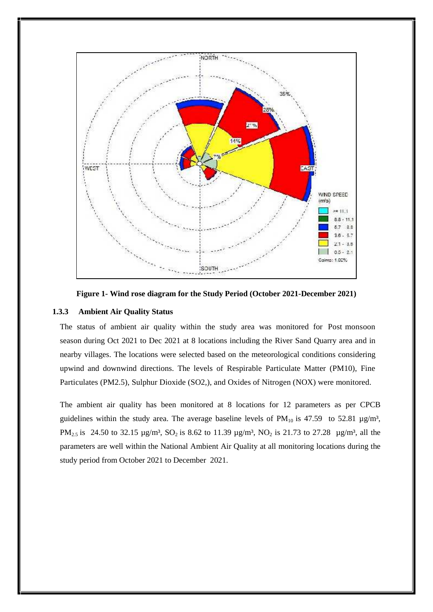

**Figure 1- Wind rose diagram for the Study Period (October 2021-December 2021)**

#### **1.3.3 Ambient Air Quality Status**

The status of ambient air quality within the study area was monitored for Post monsoon season during Oct 2021 to Dec 2021 at 8 locations including the River Sand Quarry area and in nearby villages. The locations were selected based on the meteorological conditions considering upwind and downwind directions. The levels of Respirable Particulate Matter (PM10), Fine Particulates (PM2.5), Sulphur Dioxide (SO2,), and Oxides of Nitrogen (NOX) were monitored.

The ambient air quality has been monitored at 8 locations for 12 parameters as per CPCB guidelines within the study area. The average baseline levels of  $PM_{10}$  is 47.59 to 52.81  $\mu$ g/m<sup>3</sup>, PM<sub>2.5</sub> is 24.50 to 32.15  $\mu$ g/m<sup>3</sup>, SO<sub>2</sub> is 8.62 to 11.39  $\mu$ g/m<sup>3</sup>, NO<sub>2</sub> is 21.73 to 27.28  $\mu$ g/m<sup>3</sup>, all the parameters are well within the National Ambient Air Quality at all monitoring locations during the study period from October 2021 to December 2021.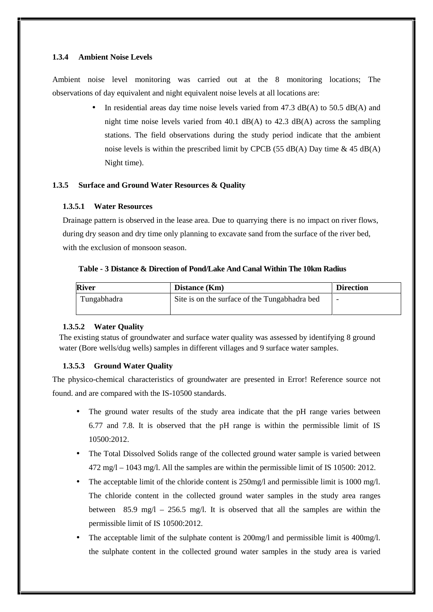## **1.3.4 Ambient Noise Levels**

Ambient noise level monitoring was carried out at the 8 monitoring locations; The observations of day equivalent and night equivalent noise levels at all locations are:

> In residential areas day time noise levels varied from 47.3 dB(A) to 50.5 dB(A) and night time noise levels varied from  $40.1$  dB(A) to  $42.3$  dB(A) across the sampling stations. The field observations during the study period indicate that the ambient noise levels is within the prescribed limit by CPCB (55 dB(A) Day time  $\&$  45 dB(A) Night time).

# **1.3.5 Surface and Ground Water Resources & Quality**

## **1.3.5.1 Water Resources**

Drainage pattern is observed in the lease area. Due to quarrying there is no impact on river flows, during dry season and dry time only planning to excavate sand from the surface of the river bed, with the exclusion of monsoon season.

## **Table - 3 Distance & Direction of Pond/Lake And Canal Within The 10km Radius**

| <b>River</b> | Distance (Km)                                 | <b>Direction</b> |
|--------------|-----------------------------------------------|------------------|
| Tungabhadra  | Site is on the surface of the Tungabhadra bed | -                |

# **1.3.5.2 Water Quality**

The existing status of groundwater and surface water quality was assessed by identifying 8 ground water (Bore wells/dug wells) samples in different villages and 9 surface water samples.

# **1.3.5.3 Ground Water Quality**

The physico-chemical characteristics of groundwater are presented in Error! Reference source not found. and are compared with the IS-10500 standards.

- The ground water results of the study area indicate that the pH range varies between 6.77 and 7.8. It is observed that the pH range is within the permissible limit of IS 10500:2012.
- The Total Dissolved Solids range of the collected ground water sample is varied between 472 mg/l – 1043 mg/l. All the samples are within the permissible limit of IS 10500: 2012.
- The acceptable limit of the chloride content is  $250$  mg/l and permissible limit is 1000 mg/l. The chloride content in the collected ground water samples in the study area ranges between 85.9 mg/l – 256.5 mg/l. It is observed that all the samples are within the permissible limit of IS 10500:2012.
- The acceptable limit of the sulphate content is 200mg/l and permissible limit is 400mg/l. the sulphate content in the collected ground water samples in the study area is varied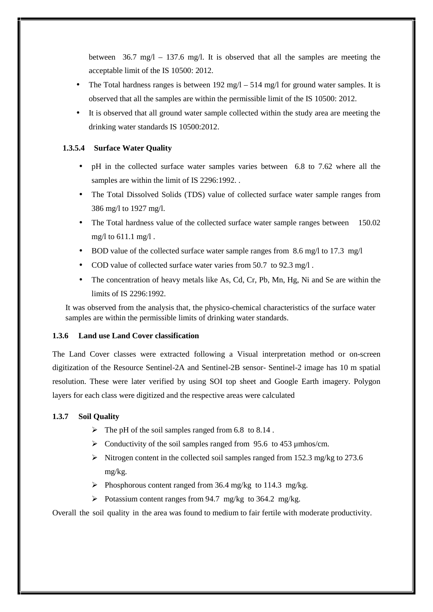between 36.7 mg/l – 137.6 mg/l. It is observed that all the samples are meeting the acceptable limit of the IS 10500: 2012.

- The Total hardness ranges is between  $192 \text{ mg}/\text{l} 514 \text{ mg}/\text{l}$  for ground water samples. It is observed that all the samples are within the permissible limit of the IS 10500: 2012.
- It is observed that all ground water sample collected within the study area are meeting the drinking water standards IS 10500:2012.

## **1.3.5.4 Surface Water Quality**

- pH in the collected surface water samples varies between 6.8 to 7.62 where all the samples are within the limit of IS 2296:1992. .
- The Total Dissolved Solids (TDS) value of collected surface water sample ranges from 386 mg/l to 1927 mg/l.
- The Total hardness value of the collected surface water sample ranges between 150.02 mg/l to 611.1 mg/l .
- BOD value of the collected surface water sample ranges from 8.6 mg/l to 17.3 mg/l
- COD value of collected surface water varies from 50.7 to 92.3 mg/l .
- The concentration of heavy metals like As, Cd, Cr, Pb, Mn, Hg, Ni and Se are within the limits of IS 2296:1992.

It was observed from the analysis that, the physico-chemical characteristics of the surface water samples are within the permissible limits of drinking water standards.

## **1.3.6 Land use Land Cover classification**

The Land Cover classes were extracted following a Visual interpretation method or on-screen digitization of the Resource Sentinel-2A and Sentinel-2B sensor- Sentinel-2 image has 10 m spatial resolution. These were later verified by using SOI top sheet and Google Earth imagery. Polygon layers for each class were digitized and the respective areas were calculated

## **1.3.7 Soil Quality**

- $\triangleright$  The pH of the soil samples ranged from 6.8 to 8.14.
- $\triangleright$  Conductivity of the soil samples ranged from 95.6 to 453 µmhos/cm.
- Nitrogen content in the collected soil samples ranged from 152.3 mg/kg to 273.6 mg/kg.
- Phosphorous content ranged from 36.4 mg/kg to 114.3 mg/kg.
- Potassium content ranges from 94.7 mg/kg to 364.2 mg/kg.

Overall the soil quality in the area was found to medium to fair fertile with moderate productivity.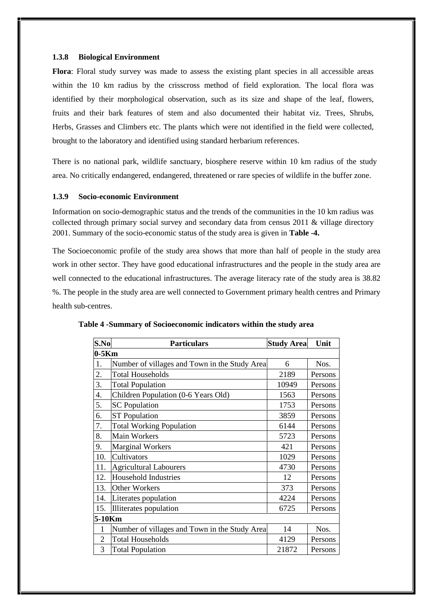#### **1.3.8 Biological Environment**

**Flora**: Floral study survey was made to assess the existing plant species in all accessible areas within the 10 km radius by the crisscross method of field exploration. The local flora was identified by their morphological observation, such as its size and shape of the leaf, flowers, fruits and their bark features of stem and also documented their habitat viz. Trees, Shrubs, Herbs, Grasses and Climbers etc. The plants which were not identified in the field were collected, brought to the laboratory and identified using standard herbarium references.

There is no national park, wildlife sanctuary, biosphere reserve within 10 km radius of the study area. No critically endangered, endangered, threatened or rare species of wildlife in the buffer zone.

#### **1.3.9 Socio-economic Environment**

Information on socio-demographic status and the trends of the communities in the 10 km radius was collected through primary social survey and secondary data from census 2011 & village directory 2001. Summary of the socio-economic status of the study area is given in **Table -4.**

The Socioeconomic profile of the study area shows that more than half of people in the study area work in other sector. They have good educational infrastructures and the people in the study area are well connected to the educational infrastructures. The average literacy rate of the study area is 38.82 %. The people in the study area are well connected to Government primary health centres and Primary health sub-centres.

| S.No    | <b>Particulars</b>                            | <b>Study Area</b> | Unit    |  |
|---------|-----------------------------------------------|-------------------|---------|--|
| $0-5Km$ |                                               |                   |         |  |
| 1.      | Number of villages and Town in the Study Area | 6                 | Nos.    |  |
| 2.      | <b>Total Households</b>                       | 2189              | Persons |  |
| 3.      | <b>Total Population</b>                       | 10949             | Persons |  |
| 4.      | Children Population (0-6 Years Old)           | 1563              | Persons |  |
| 5.      | <b>SC</b> Population                          | 1753              | Persons |  |
| 6.      | <b>ST</b> Population                          | 3859              | Persons |  |
| 7.      | <b>Total Working Population</b>               | 6144              | Persons |  |
| 8.      | <b>Main Workers</b>                           | 5723              | Persons |  |
| 9.      | <b>Marginal Workers</b>                       | 421               | Persons |  |
| 10.     | Cultivators                                   | 1029              | Persons |  |
| 11.     | <b>Agricultural Labourers</b>                 | 4730              | Persons |  |
| 12.     | <b>Household Industries</b>                   | 12                | Persons |  |
| 13.     | Other Workers                                 | 373               | Persons |  |
| 14.     | Literates population                          | 4224              | Persons |  |
| 15.     | Illiterates population                        | 6725              | Persons |  |
| 5-10Km  |                                               |                   |         |  |
| 1       | Number of villages and Town in the Study Area | 14                | Nos.    |  |
| 2       | <b>Total Households</b>                       | 4129              | Persons |  |
| 3       | <b>Total Population</b>                       | 21872             | Persons |  |

**Table 4 -Summary of Socioeconomic indicators within the study area**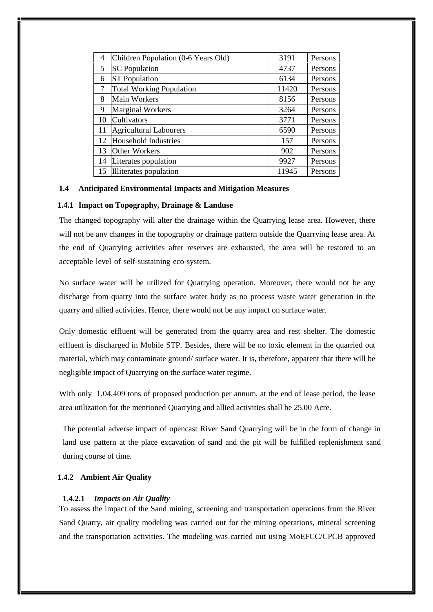| 4  |                                     | 3191  | Persons |
|----|-------------------------------------|-------|---------|
|    | Children Population (0-6 Years Old) |       |         |
| 5  | <b>SC</b> Population                | 4737  | Persons |
| 6  | <b>ST</b> Population                | 6134  | Persons |
| 7  | <b>Total Working Population</b>     | 11420 | Persons |
| 8  | Main Workers                        | 8156  | Persons |
| 9  | <b>Marginal Workers</b>             | 3264  | Persons |
| 10 | <b>Cultivators</b>                  | 3771  | Persons |
| 11 | <b>Agricultural Labourers</b>       | 6590  | Persons |
| 12 | Household Industries                | 157   | Persons |
| 13 | <b>Other Workers</b>                | 902   | Persons |
| 14 | Literates population                | 9927  | Persons |
| 15 | Illiterates population              | 11945 | Persons |

#### **1.4 Anticipated Environmental Impacts and Mitigation Measures**

#### **1.4.1 Impact on Topography, Drainage & Landuse**

The changed topography will alter the drainage within the Quarrying lease area. However, there will not be any changes in the topography or drainage pattern outside the Quarrying lease area. At the end of Quarrying activities after reserves are exhausted, the area will be restored to an acceptable level of self-sustaining eco-system.

No surface water will be utilized for Quarrying operation. Moreover, there would not be any discharge from quarry into the surface water body as no process waste water generation in the quarry and allied activities. Hence, there would not be any impact on surface water.

Only domestic effluent will be generated from the quarry area and rest shelter. The domestic effluent is discharged in Mobile STP. Besides, there will be no toxic element in the quarried out material, which may contaminate ground/ surface water. It is, therefore, apparent that there will be negligible impact of Quarrying on the surface water regime.

With only  $1,04,409$  tons of proposed production per annum, at the end of lease period, the lease area utilization for the mentioned Quarrying and allied activities shall be 25.00 Acre.

The potential adverse impact of opencast River Sand Quarrying will be in the form of change in land use pattern at the place excavation of sand and the pit will be fulfilled replenishment sand during course of time.

#### **1.4.2 Ambient Air Quality**

## **1.4.2.1** *Impacts on Air Quality*

To assess the impact of the Sand mining¸ screening and transportation operations from the River Sand Quarry, air quality modeling was carried out for the mining operations, mineral screening and the transportation activities. The modeling was carried out using MoEFCC/CPCB approved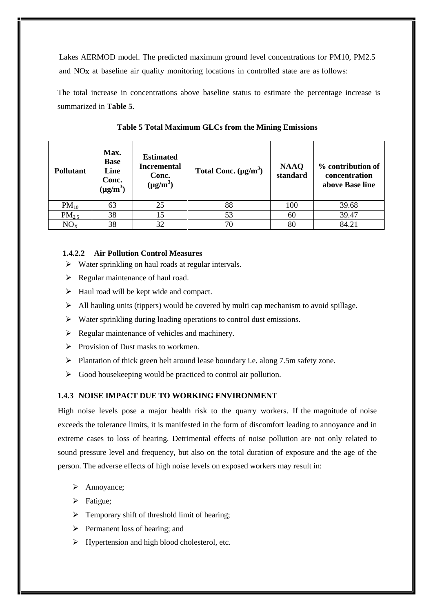Lakes AERMOD model. The predicted maximum ground level concentrations for PM10, PM2.5 and NOx at baseline air quality monitoring locations in controlled state are as follows:

The total increase in concentrations above baseline status to estimate the percentage increase is summarized in **Table 5.**

| <b>Pollutant</b>  | Max.<br><b>Base</b><br>Line<br>Conc.<br>$(\mu g/m^3)$ | <b>Estimated</b><br><b>Incremental</b><br>Conc.<br>$(\mu g/m^3)$ | Total Conc. $(\mu g/m^3)$ | <b>NAAQ</b><br>standard | % contribution of<br>concentration<br>above Base line |
|-------------------|-------------------------------------------------------|------------------------------------------------------------------|---------------------------|-------------------------|-------------------------------------------------------|
| $PM_{10}$         | 63                                                    | 25                                                               | 88                        | 100                     | 39.68                                                 |
| PM <sub>2.5</sub> | 38                                                    | 15                                                               | 53                        | 60                      | 39.47                                                 |
| NO <sub>X</sub>   | 38                                                    | 32                                                               | 70                        | 80                      | 84.21                                                 |

**Table 5 Total Maximum GLCs from the Mining Emissions**

## **1.4.2.2 Air Pollution Control Measures**

- $\triangleright$  Water sprinkling on haul roads at regular intervals.
- $\triangleright$  Regular maintenance of haul road.
- $\triangleright$  Haul road will be kept wide and compact.
- $\triangleright$  All hauling units (tippers) would be covered by multi cap mechanism to avoid spillage.
- $\triangleright$  Water sprinkling during loading operations to control dust emissions.
- $\triangleright$  Regular maintenance of vehicles and machinery.
- $\triangleright$  Provision of Dust masks to workmen.
- $\triangleright$  Plantation of thick green belt around lease boundary i.e. along 7.5m safety zone.
- $\triangleright$  Good house keeping would be practiced to control air pollution.

## **1.4.3 NOISE IMPACT DUE TO WORKING ENVIRONMENT**

High noise levels pose a major health risk to the quarry workers. If the magnitude of noise exceeds the tolerance limits, it is manifested in the form of discomfort leading to annoyance and in extreme cases to loss of hearing. Detrimental effects of noise pollution are not only related to sound pressure level and frequency, but also on the total duration of exposure and the age of the person. The adverse effects of high noise levels on exposed workers may result in:

- > Annoyance;
- > Fatigue;
- $\triangleright$  Temporary shift of threshold limit of hearing:
- $\triangleright$  Permanent loss of hearing; and
- $\triangleright$  Hypertension and high blood cholesterol, etc.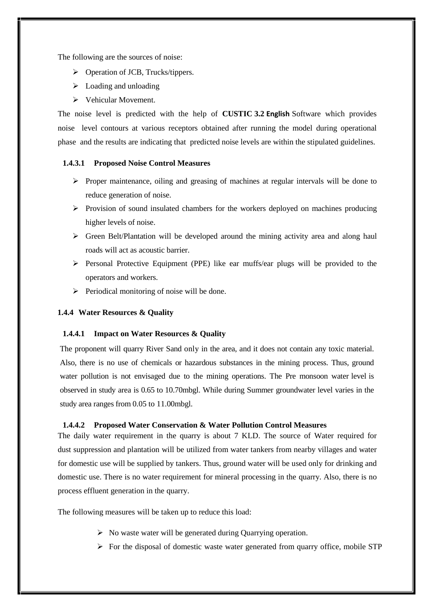The following are the sources of noise:

- Operation of JCB, Trucks/tippers.
- $\triangleright$  Loading and unloading
- Vehicular Movement.

The noise level is predicted with the help of **CUSTIC 3.2 English** Software which provides noise level contours at various receptors obtained after running the model during operational phase and the results are indicating that predicted noise levels are within the stipulated guidelines.

#### **1.4.3.1 Proposed Noise Control Measures**

- $\triangleright$  Proper maintenance, oiling and greasing of machines at regular intervals will be done to reduce generation of noise.
- $\triangleright$  Provision of sound insulated chambers for the workers deployed on machines producing higher levels of noise.
- $\triangleright$  Green Belt/Plantation will be developed around the mining activity area and along haul roads will act as acoustic barrier.
- $\triangleright$  Personal Protective Equipment (PPE) like ear muffs/ear plugs will be provided to the operators and workers.
- $\triangleright$  Periodical monitoring of noise will be done.

#### **1.4.4 Water Resources & Quality**

#### **1.4.4.1 Impact on Water Resources & Quality**

The proponent will quarry River Sand only in the area, and it does not contain any toxic material. Also, there is no use of chemicals or hazardous substances in the mining process. Thus, ground water pollution is not envisaged due to the mining operations. The Pre monsoon water level is observed in study area is 0.65 to 10.70mbgl. While during Summer groundwater level varies in the study area ranges from 0.05 to 11.00mbgl.

## **1.4.4.2 Proposed Water Conservation & Water Pollution Control Measures**

The daily water requirement in the quarry is about 7 KLD. The source of Water required for dust suppression and plantation will be utilized from water tankers from nearby villages and water for domestic use will be supplied by tankers. Thus, ground water will be used only for drinking and domestic use. There is no water requirement for mineral processing in the quarry. Also, there is no process effluent generation in the quarry.

The following measures will be taken up to reduce this load:

- $\triangleright$  No waste water will be generated during Quarrying operation.
- $\triangleright$  For the disposal of domestic waste water generated from quarry office, mobile STP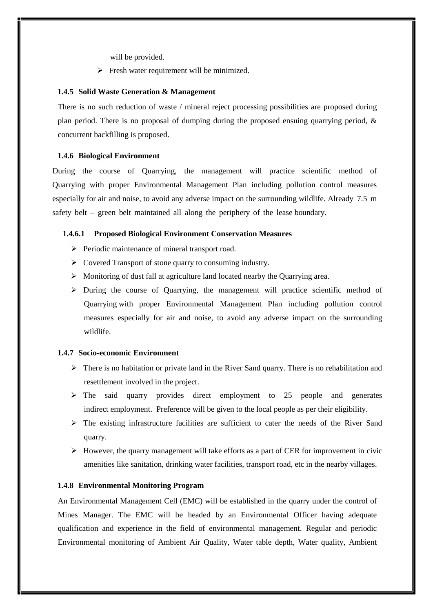will be provided.

 $\triangleright$  Fresh water requirement will be minimized.

#### **1.4.5 Solid Waste Generation & Management**

There is no such reduction of waste / mineral reject processing possibilities are proposed during plan period. There is no proposal of dumping during the proposed ensuing quarrying period, & concurrent backfilling is proposed.

#### **1.4.6 Biological Environment**

During the course of Quarrying, the management will practice scientific method of Quarrying with proper Environmental Management Plan including pollution control measures especially for air and noise, to avoid any adverse impact on the surrounding wildlife. Already 7.5 m safety belt – green belt maintained all along the periphery of the lease boundary.

## **1.4.6.1 Proposed Biological Environment Conservation Measures**

- > Periodic maintenance of mineral transport road.
- $\triangleright$  Covered Transport of stone quarry to consuming industry.
- Monitoring of dust fall at agriculture land located nearby the Quarrying area.
- $\triangleright$  During the course of Quarrying, the management will practice scientific method of Quarrying with proper Environmental Management Plan including pollution control measures especially for air and noise, to avoid any adverse impact on the surrounding wildlife.

#### **1.4.7 Socio-economic Environment**

- $\triangleright$  There is no habitation or private land in the River Sand quarry. There is no rehabilitation and resettlement involved in the project.
- $\triangleright$  The said quarry provides direct employment to 25 people and generates indirect employment. Preference will be given to the local people as per their eligibility.
- $\triangleright$  The existing infrastructure facilities are sufficient to cater the needs of the River Sand quarry.
- $\triangleright$  However, the quarry management will take efforts as a part of CER for improvement in civic amenities like sanitation, drinking water facilities, transport road, etc in the nearby villages.

#### **1.4.8 Environmental Monitoring Program**

An Environmental Management Cell (EMC) will be established in the quarry under the control of Mines Manager. The EMC will be headed by an Environmental Officer having adequate qualification and experience in the field of environmental management. Regular and periodic Environmental monitoring of Ambient Air Quality, Water table depth, Water quality, Ambient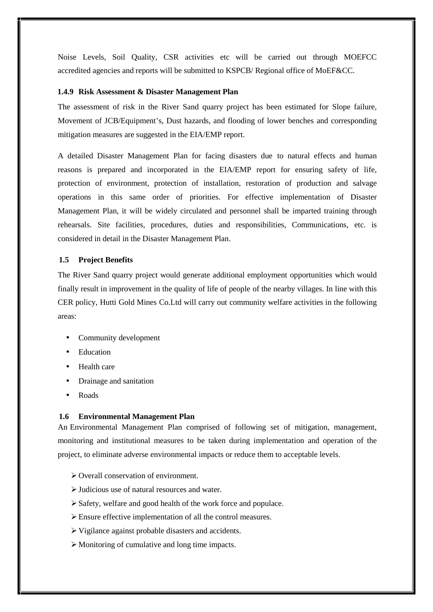Noise Levels, Soil Quality, CSR activities etc will be carried out through MOEFCC accredited agencies and reports will be submitted to KSPCB/ Regional office of MoEF&CC.

#### **1.4.9 Risk Assessment & Disaster Management Plan**

The assessment of risk in the River Sand quarry project has been estimated for Slope failure, Movement of JCB/Equipment's, Dust hazards, and flooding of lower benches and corresponding mitigation measures are suggested in the EIA/EMP report.

A detailed Disaster Management Plan for facing disasters due to natural effects and human reasons is prepared and incorporated in the EIA/EMP report for ensuring safety of life, protection of environment, protection of installation, restoration of production and salvage operations in this same order of priorities. For effective implementation of Disaster Management Plan, it will be widely circulated and personnel shall be imparted training through rehearsals. Site facilities, procedures, duties and responsibilities, Communications, etc. is considered in detail in the Disaster Management Plan.

## **1.5 Project Benefits**

The River Sand quarry project would generate additional employment opportunities which would finally result in improvement in the quality of life of people of the nearby villages. In line with this CER policy, Hutti Gold Mines Co.Ltd will carry out community welfare activities in the following areas:

- Community development
- Education
- Health care
- Drainage and sanitation
- Roads

#### **1.6 Environmental Management Plan**

An Environmental Management Plan comprised of following set of mitigation, management, monitoring and institutional measures to be taken during implementation and operation of the project, to eliminate adverse environmental impacts or reduce them to acceptable levels.

- Overall conservation of environment.
- Judicious use of natural resources and water.
- Safety, welfare and good health of the work force and populace.
- Ensure effective implementation of all the control measures.
- $\triangleright$  Vigilance against probable disasters and accidents.
- Monitoring of cumulative and long time impacts.